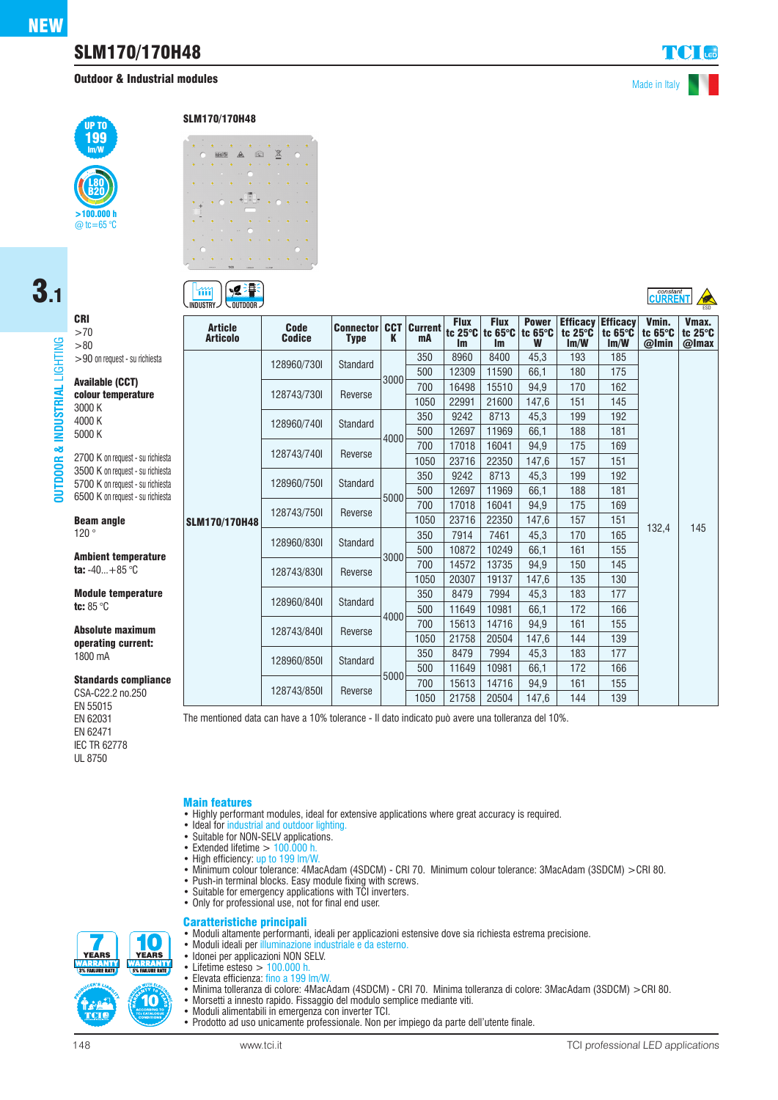# SLM170/170H48

**Outdoor & Industrial modules** Made in Italy

constant<br>CLIRRENT



# 3.1CRI

LIGHTING

**OUTDOOR & INDUSTRIAL** LIGHTING

**INDUS**  $\mathbf{a}$ DOOR 旨

**ISTRIAL** 

 $>70$ >80 >90 on request - su richiesta Available (CCT)

colour temperature 3000 K 4000 K 5000 K 2700 K on request - su richiesta

3500 K on request - su richiesta 5700 K on request - su richiesta 6500 K on request - su richiesta

Beam angle 120 °

Ambient temperature ta:  $-40...+85$  °C

Module temperature tc: 85 °C

Absolute maximum operating current: 1800 mA

Standards compliance

CSA-C22.2 no.250 EN 55015 EN 62031 EN 62471 IEC TR 62778 UL 8750

[∍g ∃¶∃  $\mathfrak{m}$ **INDUSTRY**  $\vee$  outdoor  $\vee$ 

SLM170/170H48

 $\overline{a}$ 

| <b>Article</b><br><b>Articolo</b> | <b>Code</b><br><b>Codice</b> | <b>Connector CCT Current</b><br><b>Type</b> | K    | mA   | <b>Flux</b><br><b>Im</b> | <b>Flux</b><br>tc $25^\circ$ C tc $65^\circ$ C<br><b>Im</b> | <b>Power</b><br>tc 65°C<br>W | <b>Efficacy</b><br>tc $25^\circ$ C<br>Im/W | <b>Efficacy</b><br>tc $65^\circ C$<br>Im/W | Vmin.<br>tc $65^\circ C$<br>@Imin | Vmax.<br>tc 25°C<br>@Imax |
|-----------------------------------|------------------------------|---------------------------------------------|------|------|--------------------------|-------------------------------------------------------------|------------------------------|--------------------------------------------|--------------------------------------------|-----------------------------------|---------------------------|
| <b>SLM170/170H48</b>              | 128960/730I                  | Standard                                    | 3000 | 350  | 8960                     | 8400                                                        | 45.3                         | 193                                        | 185                                        |                                   | 145                       |
|                                   |                              |                                             |      | 500  | 12309                    | 11590                                                       | 66,1                         | 180                                        | 175                                        |                                   |                           |
|                                   | 128743/7301                  | Reverse                                     |      | 700  | 16498                    | 15510                                                       | 94,9                         | 170                                        | 162                                        |                                   |                           |
|                                   |                              |                                             |      | 1050 | 22991                    | 21600                                                       | 147,6                        | 151                                        | 145                                        |                                   |                           |
|                                   | 128960/740I                  | Standard                                    | 4000 | 350  | 9242                     | 8713                                                        | 45,3                         | 199                                        | 192                                        |                                   |                           |
|                                   |                              |                                             |      | 500  | 12697                    | 11969                                                       | 66,1                         | 188                                        | 181                                        |                                   |                           |
|                                   | 128743/740I                  | Reverse                                     |      | 700  | 17018                    | 16041                                                       | 94,9                         | 175                                        | 169                                        |                                   |                           |
|                                   |                              |                                             |      | 1050 | 23716                    | 22350                                                       | 147,6                        | 157                                        | 151                                        |                                   |                           |
|                                   | 128960/750I                  | <b>Standard</b>                             | 5000 | 350  | 9242                     | 8713                                                        | 45,3                         | 199                                        | 192                                        |                                   |                           |
|                                   |                              |                                             |      | 500  | 12697                    | 11969                                                       | 66,1                         | 188                                        | 181                                        | 132,4                             |                           |
|                                   | 128743/7501                  | Reverse                                     |      | 700  | 17018                    | 16041                                                       | 94.9                         | 175                                        | 169                                        |                                   |                           |
|                                   |                              |                                             |      | 1050 | 23716                    | 22350                                                       | 147,6                        | 157                                        | 151                                        |                                   |                           |
|                                   | 128960/830I                  | <b>Standard</b>                             | 3000 | 350  | 7914                     | 7461                                                        | 45,3                         | 170                                        | 165                                        |                                   |                           |
|                                   |                              |                                             |      | 500  | 10872                    | 10249                                                       | 66.1                         | 161                                        | 155                                        |                                   |                           |
|                                   | 128743/8301                  | Reverse                                     |      | 700  | 14572                    | 13735                                                       | 94,9                         | 150                                        | 145                                        |                                   |                           |
|                                   |                              |                                             |      | 1050 | 20307                    | 19137                                                       | 147,6                        | 135                                        | 130                                        |                                   |                           |
|                                   | 128960/840I                  | <b>Standard</b>                             | 4000 | 350  | 8479                     | 7994                                                        | 45,3                         | 183                                        | 177                                        |                                   |                           |
|                                   |                              |                                             |      | 500  | 11649                    | 10981                                                       | 66,1                         | 172                                        | 166                                        |                                   |                           |
|                                   | 128743/8401                  | Reverse                                     |      | 700  | 15613                    | 14716                                                       | 94.9                         | 161                                        | 155                                        |                                   |                           |
|                                   |                              |                                             |      | 1050 | 21758                    | 20504                                                       | 147,6                        | 144                                        | 139                                        |                                   |                           |
|                                   | 128960/8501                  | <b>Standard</b>                             | 5000 | 350  | 8479                     | 7994                                                        | 45,3                         | 183                                        | 177                                        |                                   |                           |
|                                   |                              |                                             |      | 500  | 11649                    | 10981                                                       | 66,1                         | 172                                        | 166                                        |                                   |                           |
|                                   | 128743/850I                  | Reverse                                     |      | 700  | 15613                    | 14716                                                       | 94,9                         | 161                                        | 155                                        |                                   |                           |
|                                   |                              |                                             |      | 1050 | 21758                    | 20504                                                       | 147,6                        | 144                                        | 139                                        |                                   |                           |

The mentioned data can have a 10% tolerance - Il dato indicato può avere una tolleranza del 10%.

#### Main features

- Highly performant modules, ideal for extensive applications where great accuracy is required.
- Ideal for industrial and outdoor lighting.
- Suitable for NON-SELV applications.
- $\bullet$  Extended lifetime  $> 100.000$  h.
- High efficiency: up to 199 lm/W.
- Minimum colour tolerance: 4MacAdam (4SDCM) CRI 70. Minimum colour tolerance: 3MacAdam (3SDCM) >CRI 80.
- Push-in terminal blocks. Easy module fixing with screws.
- Suitable for emergency applications with TCI inverters.
- Only for professional use, not for final end user.

#### Caratteristiche principali

- Moduli altamente performanti, ideali per applicazioni estensive dove sia richiesta estrema precisione.
- Moduli ideali per illuminazione industriale e da esterno.
- Idonei per applicazioni NON SELV.<br>• Lifetime esteso  $\geq$  100,000 b
- Lifetime esteso  $> 100.000$  h.<br>• Elevata efficienza: fino a 1991
- Elevata efficienza: fino a 199 lm/W.
- Minima tolleranza di colore: 4MacAdam (4SDCM) CRI 70. Minima tolleranza di colore: 3MacAdam (3SDCM) >CRI 80.
- Morsetti a innesto rapido. Fissaggio del modulo semplice mediante viti.
- Moduli alimentabili in emergenza con inverter TCI.
- Prodotto ad uso unicamente professionale. Non per impiego da parte dell'utente finale.

**YEARS** 

íO **YEARS**